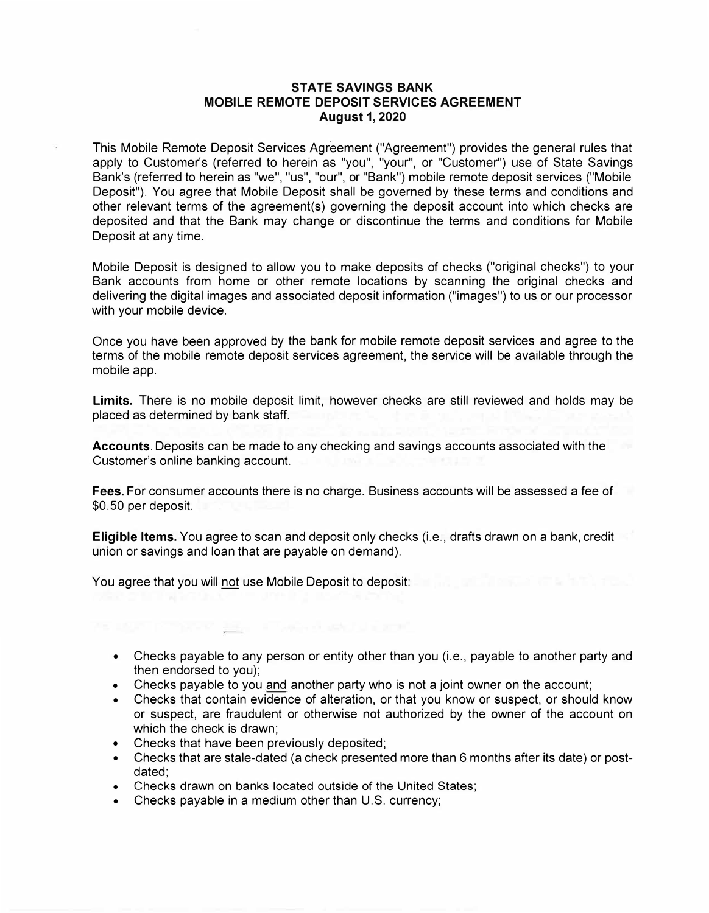## **STATE SAVINGS BANK MOBILE REMOTE DEPOSIT SERVICES AGREEMENT August 1, 2020**

This Mobile Remote Deposit Services Agreement ("Agreement") provides the general rules that apply to Customer's (referred to herein as "you", "your", or "Customer") use of State Savings Bank's (referred to herein as "we", "us", "our", or "Bank") mobile remote deposit services ("Mobile Deposit"). You agree that Mobile Deposit shall be governed by these terms and conditions and other relevant terms of the agreement(s) governing the deposit account into which checks are deposited and that the Bank may change or discontinue the terms and conditions for Mobile Deposit at any time.

Mobile Deposit is designed to allow you to make deposits of checks ("original checks") to your Bank accounts from home or other remote locations by scanning the original checks and delivering the digital images and associated deposit information ("images") to us or our processor with your mobile device.

Once you have been approved by the bank for mobile remote deposit services and agree to the terms of the mobile remote deposit services agreement, the service will be available through the mobile app.

**Limits.** There is no mobile deposit limit, however checks are still reviewed and holds may be placed as determined by bank staff.

**Accounts.** Deposits can be made to any checking and savings accounts associated with the Customer's online banking account.

**Fees.** For consumer accounts there is no charge. Business accounts will be assessed a fee of \$0.50 per deposit.

**Eligible Items.** You agree to scan and deposit only checks (i.e., drafts drawn on a bank, credit union or savings and loan that are payable on demand).

You agree that you will not use Mobile Deposit to deposit:

- Checks payable to any person or entity other than you (i.e., payable to another party and then endorsed to you);
- •Checks payable to you and another party who is not a joint owner on the account;
- Checks that contain evidence of alteration, or that you know or suspect, or should know or suspect, are fraudulent or otherwise not authorized by the owner of the account on which the check is drawn;
- Checks that have been previously deposited;
- Checks that are stale-dated (a check presented more than 6 months after its date) or postdated;
- Checks drawn on banks located outside of the United States;
- •Checks payable in a medium other than U.S. currency;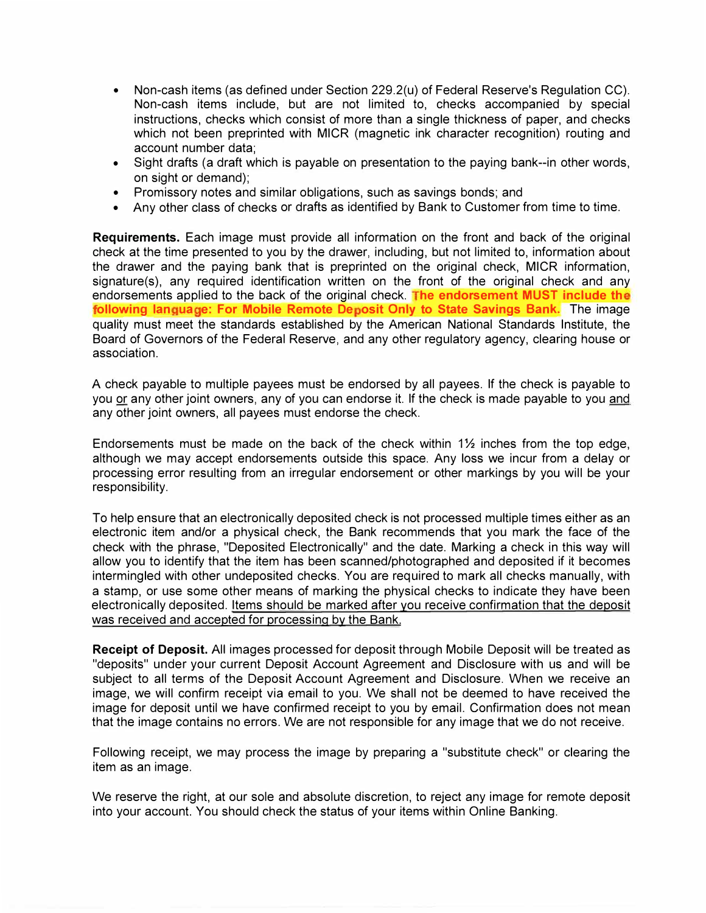- Non-cash items (as defined under Section 229.2(u) of Federal Reserve's Regulation CC). Non-cash items include, but are not limited to, checks accompanied by special instructions, checks which consist of more than a single thickness of paper, and checks which not been preprinted with MICR (magnetic ink character recognition) routing and account number data;
- Sight drafts (a draft which is payable on presentation to the paying bank--in other words, on sight or demand);
- Promissory notes and similar obligations, such as savings bonds; and
- Any other class of checks or drafts as identified by Bank to Customer from time to time.

**Requirements.** Each image must provide all information on the front and back of the original check at the time presented to you by the drawer, including, but not limited to, information about the drawer and the paying bank that is preprinted on the original check, MICR information, signature(s), any required identification written on the front of the original check and any endorsements applied to the back of the original check. The endorsement MUST include the following language: For Mobile Remote Deposit Only to State Savings Bank. The image quality must meet the standards established by the American National Standards Institute, the Board of Governors of the Federal Reserve, and any other regulatory agency, clearing house or association.

A check payable to multiple payees must be endorsed by all payees. If the check is payable to you or any other joint owners, any of you can endorse it. If the check is made payable to you and any other joint owners, all payees must endorse the check.

Endorsements must be made on the back of the check within  $1\frac{1}{2}$  inches from the top edge, although we may accept endorsements outside this space. Any loss we incur from a delay or processing error resulting from an irregular endorsement or other markings by you will be your responsibility.

To help ensure that an electronically deposited check is not processed multiple times either as an electronic item and/or a physical check, the Bank recommends that you mark the face of the check with the phrase, "Deposited Electronically" and the date. Marking a check in this way will allow you to identify that the item has been scanned/photographed and deposited if it becomes intermingled with other undeposited checks. You are required to mark all checks manually, with a stamp, or use some other means of marking the physical checks to indicate they have been electronically deposited. Items should be marked after you receive confirmation that the deposit was received and accepted for processing by the Bank.

**Receipt of Deposit.** All images processed for deposit through Mobile Deposit will be treated as "deposits" under your current Deposit Account Agreement and Disclosure with us and will be subject to all terms of the Deposit Account Agreement and Disclosure. When we receive an image, we will confirm receipt via email to you. We shall not be deemed to have received the image for deposit until we have confirmed receipt to you by email. Confirmation does not mean that the image contains no errors. We are not responsible for any image that we do not receive.

Following receipt, we may process the image by preparing a "substitute check" or clearing the item as an image.

We reserve the right, at our sole and absolute discretion, to reject any image for remote deposit into your account. You should check the status of your items within Online Banking.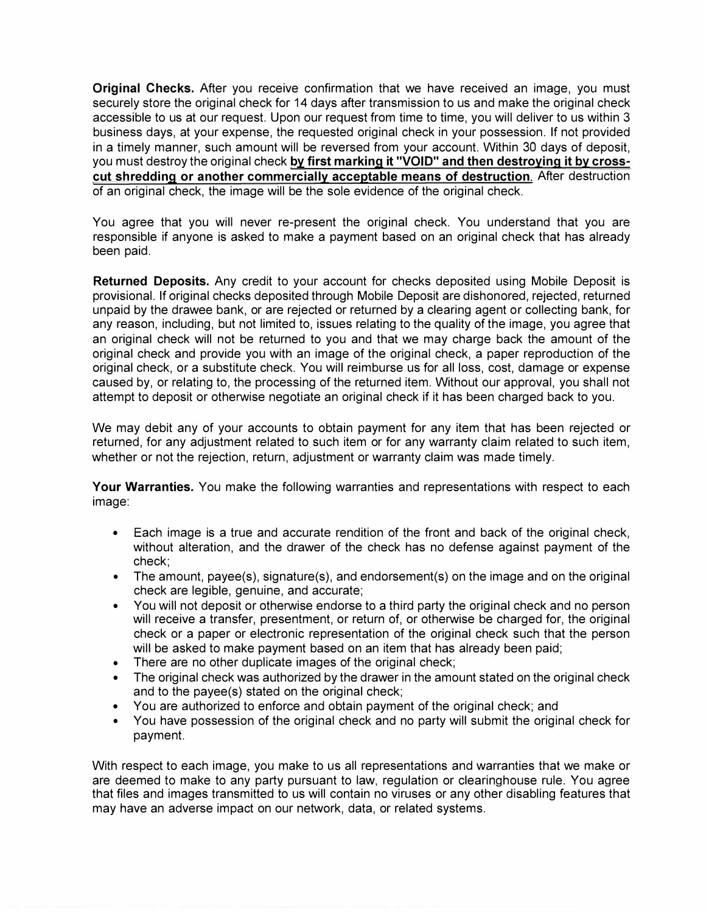**Original Checks.** After you receive confirmation that we have received an image, you must securely store the original check for 14 days after transmission to us and make the original check accessible to us at our request. Upon our request from time to time, you will deliver to us within 3 business days, at your expense, the requested original check in your possession. If not provided in a timely manner, such amount will be reversed from your account. Within 30 days of deposit, you must destroy the original check **by first marking it "VOID" and then destroying it by crosscut shredding or another commercially acceptable means of destruction.** After destruction of an original check, the image will be the sole evidence of the original check.

You agree that you will never re-present the original check. You understand that you are responsible if anyone is asked to make a payment based on an original check that has already been paid.

**Returned Deposits.** Any credit to your account for checks deposited using Mobile Deposit is provisional. If original checks deposited through Mobile Deposit are dishonored, rejected, returned unpaid by the drawee bank, or are rejected or returned by a clearing agent or collecting bank, for any reason, including, but not limited to, issues relating to the quality of the image, you agree that an original check will not be returned to you and that we may charge back the amount of the original check and provide you with an image of the original check, a paper reproduction of the original check, or a substitute check. You will reimburse us for all loss, cost, damage or expense caused by, or relating to, the processing of the returned item. Without our approval, you shall not attempt to deposit or otherwise negotiate an original check if it has been charged back to you.

We may debit any of your accounts to obtain payment for any item that has been rejected or returned, for any adjustment related to such item or for any warranty claim related to such item, whether or not the rejection, return, adjustment or warranty claim was made timely.

**Your Warranties.** You make the following warranties and representations with respect to each image:

- Each image is a true and accurate rendition of the front and back of the original check, without alteration, and the drawer of the check has no defense against payment of the check;
- The amount, payee(s), signature(s), and endorsement(s) on the image and on the original check are legible, genuine, and accurate;
- You will not deposit or otherwise endorse to a third party the original check and no person will receive a transfer, presentment, or return of, or otherwise be charged for, the original check or a paper or electronic representation of the original check such that the person will be asked to make payment based on an item that has already been paid;
- There are no other duplicate images of the original check;
- The original check was authorized by the drawer in the amount stated on the original check and to the payee(s) stated on the original check;
- You are authorized to enforce and obtain payment of the original check; and
- You have possession of the original check and no party will submit the original check for payment.

With respect to each image, you make to us all representations and warranties that we make or are deemed to make to any party pursuant to law, regulation or clearinghouse rule. You agree that files and images transmitted to us will contain no viruses or any other disabling features that may have an adverse impact on our network, data, or related systems.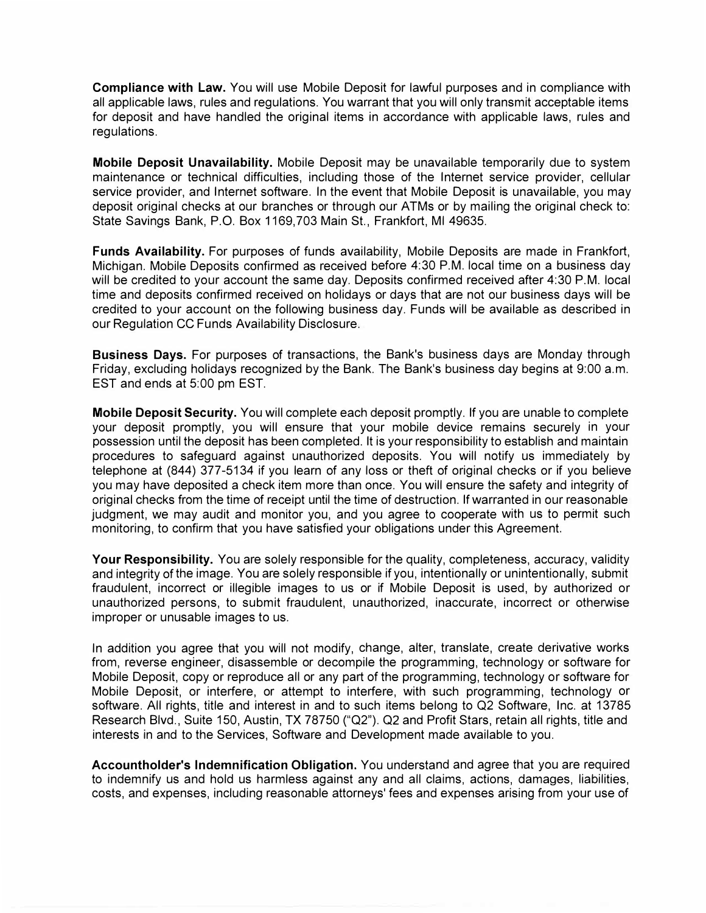**Compliance with Law.** You will use Mobile Deposit for lawful purposes and in compliance with all applicable laws, rules and regulations. You warrant that you will only transmit acceptable items for deposit and have handled the original items in accordance with applicable laws, rules and regulations.

**Mobile Deposit Unavailability.** Mobile Deposit may be unavailable temporarily due to system maintenance or technical difficulties, including those of the Internet service provider, cellular service provider, and Internet software. In the event that Mobile Deposit is unavailable, you may deposit original checks at our branches or through our ATMs or by mailing the original check to: State Savings Bank, P.O. Box 1169,703 Main St., Frankfort, Ml 49635.

**Funds Availability.** For purposes of funds availability, Mobile Deposits are made in Frankfort, Michigan. Mobile Deposits confirmed as received before 4:30 P.M. local time on a business day will be credited to your account the same day. Deposits confirmed received after 4:30 P.M. local time and deposits confirmed received on holidays or days that are not our business days will be credited to your account on the following business day. Funds will be available as described in our Regulation CC Funds Availability Disclosure.

**Business Days.** For purposes of transactions, the Bank's business days are Monday through Friday, excluding holidays recognized by the Bank. The Bank's business day begins at 9:00 a.m. EST and ends at 5:00 pm EST.

**Mobile Deposit Security.** You will complete each deposit promptly. If you are unable to complete your deposit promptly, you will ensure that your mobile device remains securely in your possession until the deposit has been completed. It is your responsibility to establish and maintain procedures to safeguard against unauthorized deposits. You will notify us immediately by telephone at (844) 377-5134 if you learn of any loss or theft of original checks or if you believe you may have deposited a check item more than once. You will ensure the safety and integrity of original checks from the time of receipt until the time of destruction. If warranted in our reasonable judgment, we may audit and monitor you, and you agree to cooperate with us to permit such monitoring, to confirm that you have satisfied your obligations under this Agreement.

**Your Responsibility.** You are solely responsible for the quality, completeness, accuracy, validity and integrity of the image. You are solely responsible if you, intentionally or unintentionally, submit fraudulent, incorrect or illegible images to us or if Mobile Deposit is used, by authorized or unauthorized persons, to submit fraudulent, unauthorized, inaccurate, incorrect or otherwise improper or unusable images to us.

In addition you agree that you will not modify, change, alter, translate, create derivative works from, reverse engineer, disassemble or decompile the programming, technology or software for Mobile Deposit, copy or reproduce all or any part of the programming, technology or software for Mobile Deposit, or interfere, or attempt to interfere, with such programming, technology or software. All rights, title and interest in and to such items belong to Q2 Software, Inc. at 13785 Research Blvd., Suite 150, Austin, TX 78750 ("Q2"). Q2 and Profit Stars, retain all rights, title and interests in and to the Services, Software and Development made available to you.

**Accountholder's Indemnification Obligation.** You understand and agree that you are required to indemnify us and hold us harmless against any and all claims, actions, damages, liabilities, costs, and expenses, including reasonable attorneys' fees and expenses arising from your use of